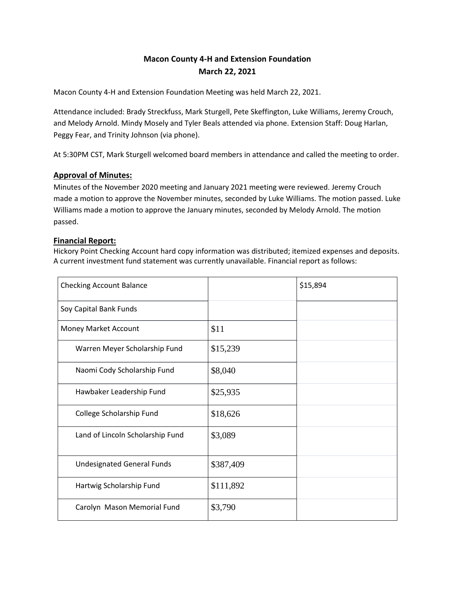# **Macon County 4-H and Extension Foundation March 22, 2021**

Macon County 4-H and Extension Foundation Meeting was held March 22, 2021.

Attendance included: Brady Streckfuss, Mark Sturgell, Pete Skeffington, Luke Williams, Jeremy Crouch, and Melody Arnold. Mindy Mosely and Tyler Beals attended via phone. Extension Staff: Doug Harlan, Peggy Fear, and Trinity Johnson (via phone).

At 5:30PM CST, Mark Sturgell welcomed board members in attendance and called the meeting to order.

### **Approval of Minutes:**

Minutes of the November 2020 meeting and January 2021 meeting were reviewed. Jeremy Crouch made a motion to approve the November minutes, seconded by Luke Williams. The motion passed. Luke Williams made a motion to approve the January minutes, seconded by Melody Arnold. The motion passed.

#### **Financial Report:**

Hickory Point Checking Account hard copy information was distributed; itemized expenses and deposits. A current investment fund statement was currently unavailable. Financial report as follows:

| <b>Checking Account Balance</b>   |           | \$15,894 |
|-----------------------------------|-----------|----------|
| Soy Capital Bank Funds            |           |          |
| Money Market Account              | \$11      |          |
| Warren Meyer Scholarship Fund     | \$15,239  |          |
| Naomi Cody Scholarship Fund       | \$8,040   |          |
| Hawbaker Leadership Fund          | \$25,935  |          |
| College Scholarship Fund          | \$18,626  |          |
| Land of Lincoln Scholarship Fund  | \$3,089   |          |
| <b>Undesignated General Funds</b> | \$387,409 |          |
| Hartwig Scholarship Fund          | \$111,892 |          |
| Carolyn Mason Memorial Fund       | \$3,790   |          |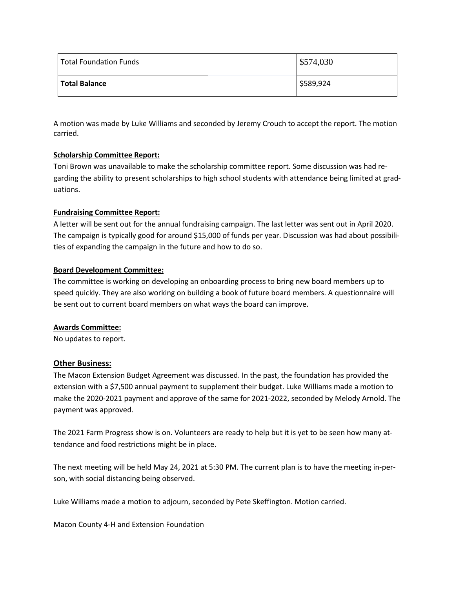| <b>Total Foundation Funds</b> | \$574,030 |
|-------------------------------|-----------|
| <b>Total Balance</b>          | \$589,924 |

A motion was made by Luke Williams and seconded by Jeremy Crouch to accept the report. The motion carried.

### **Scholarship Committee Report:**

Toni Brown was unavailable to make the scholarship committee report. Some discussion was had regarding the ability to present scholarships to high school students with attendance being limited at graduations.

### **Fundraising Committee Report:**

A letter will be sent out for the annual fundraising campaign. The last letter was sent out in April 2020. The campaign is typically good for around \$15,000 of funds per year. Discussion was had about possibilities of expanding the campaign in the future and how to do so.

### **Board Development Committee:**

The committee is working on developing an onboarding process to bring new board members up to speed quickly. They are also working on building a book of future board members. A questionnaire will be sent out to current board members on what ways the board can improve.

### **Awards Committee:**

No updates to report.

## **Other Business:**

The Macon Extension Budget Agreement was discussed. In the past, the foundation has provided the extension with a \$7,500 annual payment to supplement their budget. Luke Williams made a motion to make the 2020-2021 payment and approve of the same for 2021-2022, seconded by Melody Arnold. The payment was approved.

The 2021 Farm Progress show is on. Volunteers are ready to help but it is yet to be seen how many attendance and food restrictions might be in place.

The next meeting will be held May 24, 2021 at 5:30 PM. The current plan is to have the meeting in-person, with social distancing being observed.

Luke Williams made a motion to adjourn, seconded by Pete Skeffington. Motion carried.

Macon County 4-H and Extension Foundation